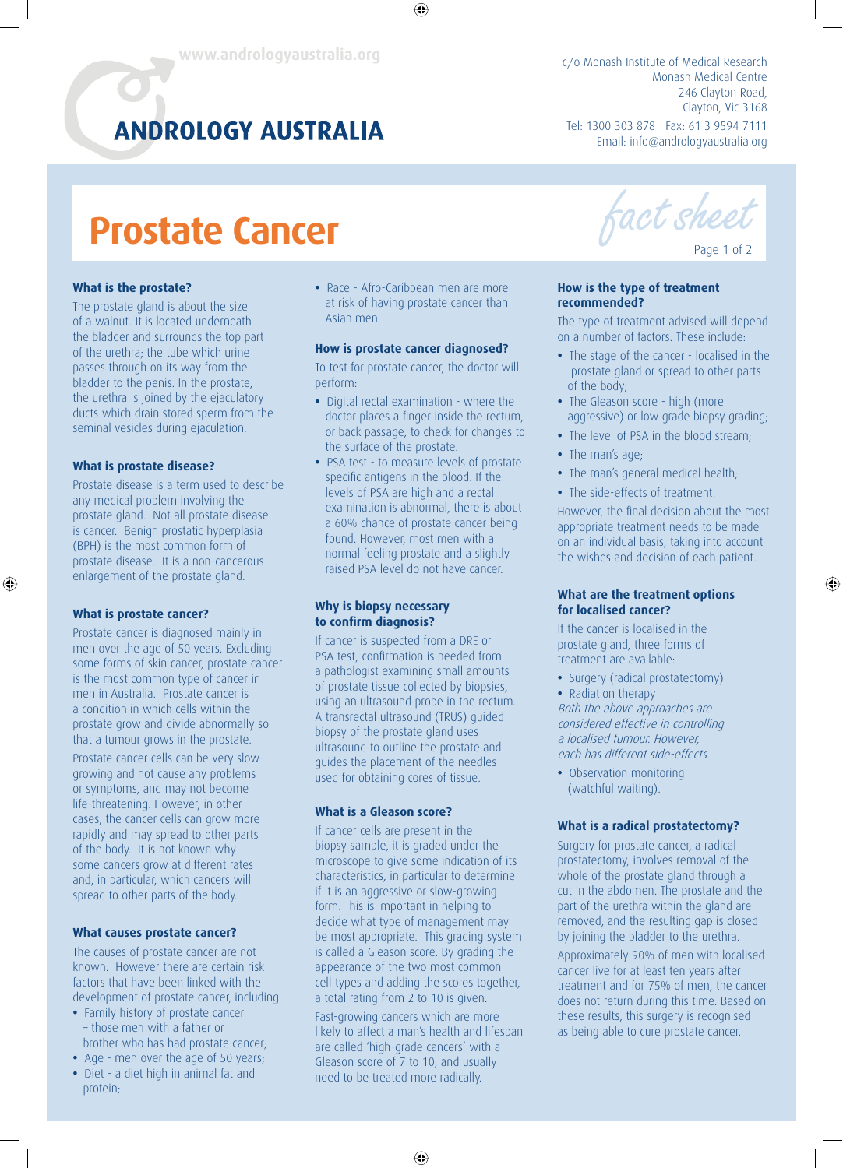# **ANDROLOGY AUSTRALIA**

c/o Monash Institute of Medical Research Monash Medical Centre 246 Clayton Road, Clayton, Vic 3168 Tel: 1300 303 878 Fax: 61 3 9594 7111 Email: info@andrologyaustralia.org

# **Prostate Cancer**

### **What is the prostate?**

The prostate gland is about the size of a walnut. It is located underneath the bladder and surrounds the top part of the urethra; the tube which urine passes through on its way from the bladder to the penis. In the prostate, the urethra is joined by the ejaculatory ducts which drain stored sperm from the seminal vesicles during ejaculation.

### **What is prostate disease?**

Prostate disease is a term used to describe any medical problem involving the prostate gland. Not all prostate disease is cancer. Benign prostatic hyperplasia (BPH) is the most common form of prostate disease. It is a non-cancerous enlargement of the prostate gland.

### **What is prostate cancer?**

⊕

Prostate cancer is diagnosed mainly in men over the age of 50 years. Excluding some forms of skin cancer, prostate cancer is the most common type of cancer in men in Australia. Prostate cancer is a condition in which cells within the prostate grow and divide abnormally so that a tumour grows in the prostate.

Prostate cancer cells can be very slowgrowing and not cause any problems or symptoms, and may not become life-threatening. However, in other cases, the cancer cells can grow more rapidly and may spread to other parts of the body. It is not known why some cancers grow at different rates and, in particular, which cancers will spread to other parts of the body.

### **What causes prostate cancer?**

The causes of prostate cancer are not known. However there are certain risk factors that have been linked with the development of prostate cancer, including:

- **•** Family history of prostate cancer – those men with a father or brother who has had prostate cancer;
- **•** Age men over the age of 50 years;
- **•** Diet a diet high in animal fat and protein;

**•** Race - Afro-Caribbean men are more at risk of having prostate cancer than Asian men.

 $\bigoplus$ 

# **How is prostate cancer diagnosed?**

To test for prostate cancer, the doctor will perform:

- **•** Digital rectal examination where the doctor places a finger inside the rectum, or back passage, to check for changes to the surface of the prostate.
- **•** PSA test to measure levels of prostate specific antigens in the blood. If the levels of PSA are high and a rectal examination is abnormal, there is about a 60% chance of prostate cancer being found. However, most men with a normal feeling prostate and a slightly raised PSA level do not have cancer.

### **Why is biopsy necessary**  to confirm diagnosis?

If cancer is suspected from a DRE or PSA test, confirmation is needed from a pathologist examining small amounts of prostate tissue collected by biopsies, using an ultrasound probe in the rectum. A transrectal ultrasound (TRUS) guided biopsy of the prostate gland uses ultrasound to outline the prostate and guides the placement of the needles used for obtaining cores of tissue.

# **What is a Gleason score?**

If cancer cells are present in the biopsy sample, it is graded under the microscope to give some indication of its characteristics, in particular to determine if it is an aggressive or slow-growing form. This is important in helping to decide what type of management may be most appropriate. This grading system is called a Gleason score. By grading the appearance of the two most common cell types and adding the scores together, a total rating from 2 to 10 is given.

Fast-growing cancers which are more likely to affect a man's health and lifespan are called 'high-grade cancers' with a Gleason score of 7 to 10, and usually need to be treated more radically.

 $\bigoplus$ 

act sheet

Page 1 of 2

⊕

# **How is the type of treatment recommended?**

The type of treatment advised will depend on a number of factors. These include:

- **•** The stage of the cancer localised in the prostate gland or spread to other parts of the body;
- **•** The Gleason score high (more aggressive) or low grade biopsy grading;
- **•** The level of PSA in the blood stream;
- **•** The man's age;
- **•** The man's general medical health;
- **•** The side-effects of treatment.

However, the final decision about the most appropriate treatment needs to be made on an individual basis, taking into account the wishes and decision of each patient.

### **What are the treatment options for localised cancer?**

If the cancer is localised in the prostate gland, three forms of treatment are available:

**•** Surgery (radical prostatectomy) **•** Radiation therapy

Both the above approaches are considered effective in controlling a localised tumour. However, each has different side-effects.

**•** Observation monitoring (watchful waiting).

### **What is a radical prostatectomy?**

Surgery for prostate cancer, a radical prostatectomy, involves removal of the whole of the prostate gland through a cut in the abdomen. The prostate and the part of the urethra within the gland are removed, and the resulting gap is closed by joining the bladder to the urethra. Approximately 90% of men with localised cancer live for at least ten years after treatment and for 75% of men, the cancer does not return during this time. Based on

these results, this surgery is recognised as being able to cure prostate cancer.